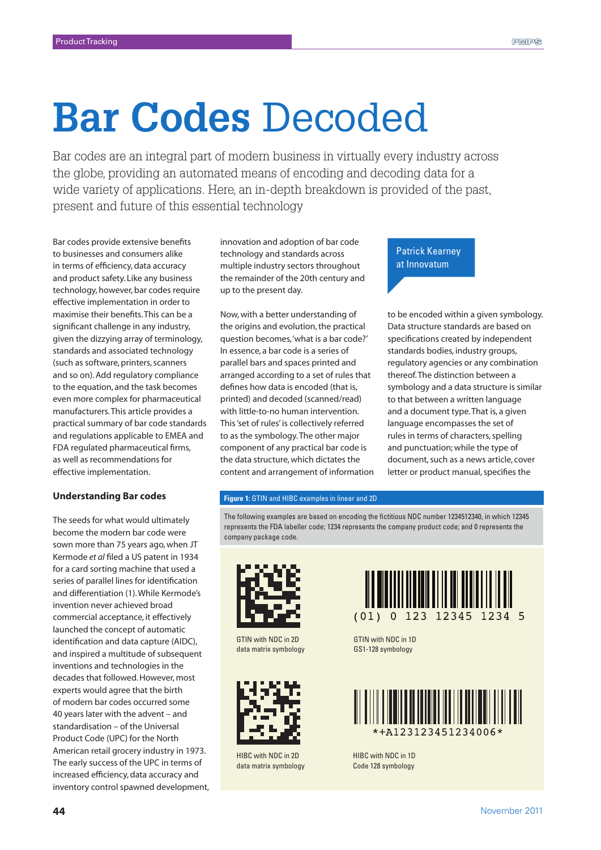# **Bar Codes** Decoded

Bar codes are an integral part of modern business in virtually every industry across the globe, providing an automated means of encoding and decoding data for a wide variety of applications. Here, an in-depth breakdown is provided of the past, present and future of this essential technology

Bar codes provide extensive benefits to businesses and consumers alike in terms of efficiency, data accuracy and product safety. Like any business technology, however, bar codes require effective implementation in order to maximise their benefits. This can be a significant challenge in any industry, given the dizzying array of terminology, standards and associated technology (such as software, printers, scanners and so on). Add regulatory compliance to the equation, and the task becomes even more complex for pharmaceutical manufacturers. This article provides a practical summary of bar code standards and regulations applicable to EMEA and FDA regulated pharmaceutical firms, as well as recommendations for effective implementation.

#### **Understanding Bar codes**

The seeds for what would ultimately become the modern bar code were sown more than 75 years ago, when JT Kermode *et al* filed a US patent in 1934 for a card sorting machine that used a series of parallel lines for identification and differentiation (1). While Kermode's invention never achieved broad commercial acceptance, it effectively launched the concept of automatic identification and data capture (AIDC), and inspired a multitude of subsequent inventions and technologies in the decades that followed. However, most experts would agree that the birth of modern bar codes occurred some 40 years later with the advent – and standardisation – of the Universal Product Code (UPC) for the North American retail grocery industry in 1973. The early success of the UPC in terms of increased efficiency, data accuracy and inventory control spawned development, innovation and adoption of bar code technology and standards across multiple industry sectors throughout the remainder of the 20th century and up to the present day.

Now, with a better understanding of the origins and evolution, the practical question becomes, 'what is a bar code?' In essence, a bar code is a series of parallel bars and spaces printed and arranged according to a set of rules that defines how data is encoded (that is, printed) and decoded (scanned/read) with little-to-no human intervention. This 'set of rules' is collectively referred to as the symbology. The other major component of any practical bar code is the data structure, which dictates the content and arrangement of information

## Patrick Kearney at Innovatum

to be encoded within a given symbology. Data structure standards are based on specifications created by independent standards bodies, industry groups, regulatory agencies or any combination thereof. The distinction between a symbology and a data structure is similar to that between a written language and a document type. That is, a given language encompasses the set of rules in terms of characters, spelling and punctuation; while the type of document, such as a news article, cover letter or product manual, specifies the

#### **Figure 1:** GTIN and HIBC examples in linear and 2D

The following examples are based on encoding the fictitious NDC number 1234512340, in which 12345 represents the FDA labeller code; 1234 represents the company product code; and 0 represents the company package code.



GTIN with NDC in 2D data matrix symbology



HIBC with NDC in 2D data matrix symbology



GTIN with NDC in 1D GS1-128 symbology



HIBC with NDC in 1D Code 128 symbology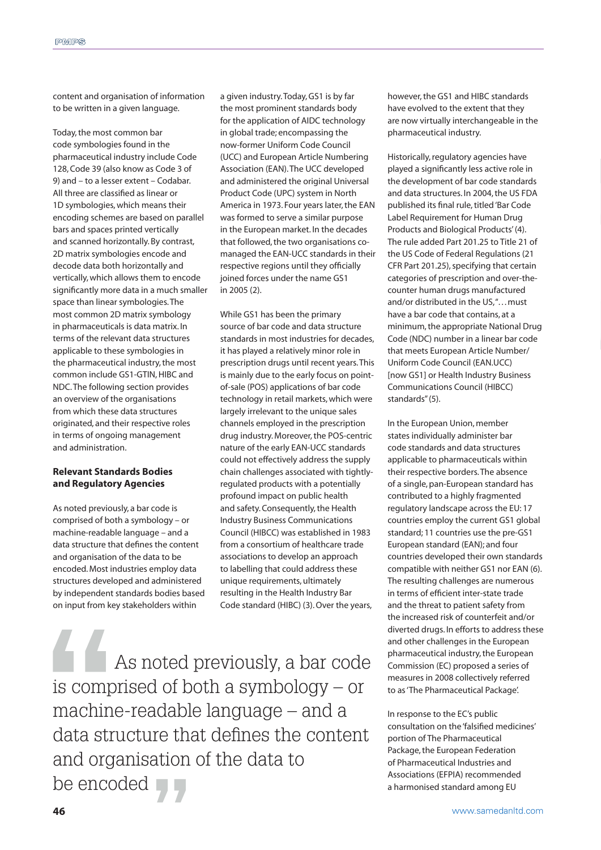content and organisation of information to be written in a given language.

Today, the most common bar code symbologies found in the pharmaceutical industry include Code 128, Code 39 (also know as Code 3 of 9) and – to a lesser extent – Codabar. All three are classified as linear or 1D symbologies, which means their encoding schemes are based on parallel bars and spaces printed vertically and scanned horizontally. By contrast, 2D matrix symbologies encode and decode data both horizontally and vertically, which allows them to encode significantly more data in a much smaller space than linear symbologies. The most common 2D matrix symbology in pharmaceuticals is data matrix. In terms of the relevant data structures applicable to these symbologies in the pharmaceutical industry, the most common include GS1-GTIN, HIBC and NDC. The following section provides an overview of the organisations from which these data structures originated, and their respective roles in terms of ongoing management and administration.

### **Relevant Standards Bodies and Regulatory Agencies**

As noted previously, a bar code is comprised of both a symbology – or machine-readable language – and a data structure that defines the content and organisation of the data to be encoded. Most industries employ data structures developed and administered by independent standards bodies based on input from key stakeholders within

a given industry. Today, GS1 is by far the most prominent standards body for the application of AIDC technology in global trade; encompassing the now-former Uniform Code Council (UCC) and European Article Numbering Association (EAN). The UCC developed and administered the original Universal Product Code (UPC) system in North America in 1973. Four years later, the EAN was formed to serve a similar purpose in the European market. In the decades that followed, the two organisations comanaged the EAN-UCC standards in their respective regions until they officially joined forces under the name GS1 in 2005 (2).

While GS1 has been the primary source of bar code and data structure standards in most industries for decades, it has played a relatively minor role in prescription drugs until recent years. This is mainly due to the early focus on pointof-sale (POS) applications of bar code technology in retail markets, which were largely irrelevant to the unique sales channels employed in the prescription drug industry. Moreover, the POS-centric nature of the early EAN-UCC standards could not effectively address the supply chain challenges associated with tightlyregulated products with a potentially profound impact on public health and safety. Consequently, the Health Industry Business Communications Council (HIBCC) was established in 1983 from a consortium of healthcare trade associations to develop an approach to labelling that could address these unique requirements, ultimately resulting in the Health Industry Bar Code standard (HIBC) (3). Over the years,

As noted previously, a bar code is comprised of both a symbology – or machine-readable language – and a data structure that defines the content and organisation of the data to be encoded

however, the GS1 and HIBC standards have evolved to the extent that they are now virtually interchangeable in the pharmaceutical industry.

Historically, regulatory agencies have played a significantly less active role in the development of bar code standards and data structures. In 2004, the US FDA published its final rule, titled 'Bar Code Label Requirement for Human Drug Products and Biological Products' (4). The rule added Part 201.25 to Title 21 of the US Code of Federal Regulations (21 CFR Part 201.25), specifying that certain categories of prescription and over-thecounter human drugs manufactured and/or distributed in the US,"... must have a bar code that contains, at a minimum, the appropriate National Drug Code (NDC) number in a linear bar code that meets European Article Number/ Uniform Code Council (EAN.UCC) [now GS1] or Health Industry Business Communications Council (HIBCC) standards" (5).

In the European Union, member states individually administer bar code standards and data structures applicable to pharmaceuticals within their respective borders. The absence of a single, pan-European standard has contributed to a highly fragmented regulatory landscape across the EU: 17 countries employ the current GS1 global standard; 11 countries use the pre-GS1 European standard (EAN); and four countries developed their own standards compatible with neither GS1 nor EAN (6). The resulting challenges are numerous in terms of efficient inter-state trade and the threat to patient safety from the increased risk of counterfeit and/or diverted drugs. In efforts to address these and other challenges in the European pharmaceutical industry, the European Commission (EC) proposed a series of measures in 2008 collectively referred to as 'The Pharmaceutical Package'.

In response to the EC's public consultation on the 'falsified medicines' portion of The Pharmaceutical Package, the European Federation of Pharmaceutical Industries and Associations (EFPIA) recommended a harmonised standard among EU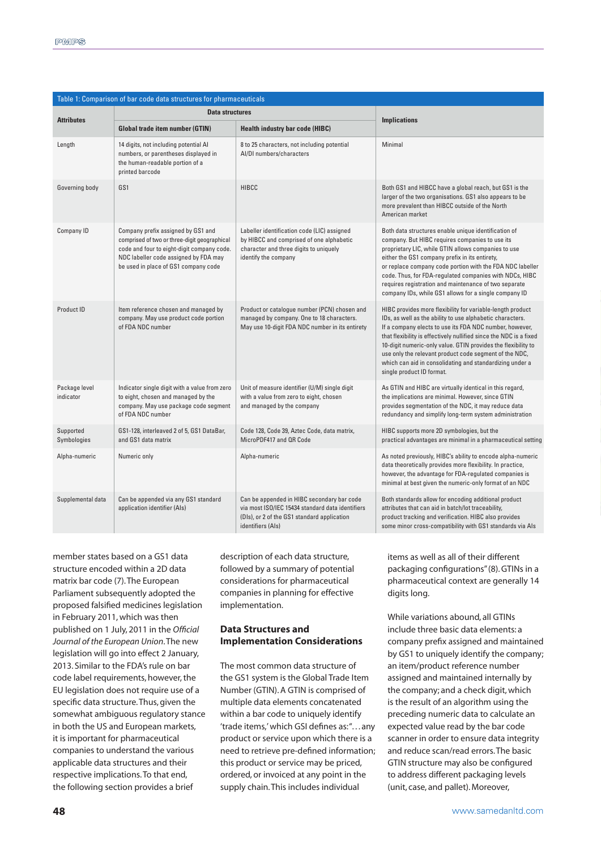| Table 1: Comparison of bar code data structures for pharmaceuticals |                                                                                                                                                                                                                   |                                                                                                                                                                    |                                                                                                                                                                                                                                                                                                                                                                                                                                                                              |
|---------------------------------------------------------------------|-------------------------------------------------------------------------------------------------------------------------------------------------------------------------------------------------------------------|--------------------------------------------------------------------------------------------------------------------------------------------------------------------|------------------------------------------------------------------------------------------------------------------------------------------------------------------------------------------------------------------------------------------------------------------------------------------------------------------------------------------------------------------------------------------------------------------------------------------------------------------------------|
| <b>Attributes</b>                                                   | <b>Data structures</b>                                                                                                                                                                                            |                                                                                                                                                                    | <b>Implications</b>                                                                                                                                                                                                                                                                                                                                                                                                                                                          |
|                                                                     | <b>Global trade item number (GTIN)</b>                                                                                                                                                                            | <b>Health industry bar code (HIBC)</b>                                                                                                                             |                                                                                                                                                                                                                                                                                                                                                                                                                                                                              |
| Length                                                              | 14 digits, not including potential AI<br>numbers, or parentheses displayed in<br>the human-readable portion of a<br>printed barcode                                                                               | 8 to 25 characters, not including potential<br>Al/DI numbers/characters                                                                                            | Minimal                                                                                                                                                                                                                                                                                                                                                                                                                                                                      |
| Governing body                                                      | GS1                                                                                                                                                                                                               | <b>HIBCC</b>                                                                                                                                                       | Both GS1 and HIBCC have a global reach, but GS1 is the<br>larger of the two organisations. GS1 also appears to be<br>more prevalent than HIBCC outside of the North<br>American market                                                                                                                                                                                                                                                                                       |
| Company ID                                                          | Company prefix assigned by GS1 and<br>comprised of two or three-digit geographical<br>code and four to eight-digit company code.<br>NDC labeller code assigned by FDA may<br>be used in place of GS1 company code | Labeller identification code (LIC) assigned<br>by HIBCC and comprised of one alphabetic<br>character and three digits to uniquely<br>identify the company          | Both data structures enable unique identification of<br>company. But HIBC requires companies to use its<br>proprietary LIC, while GTIN allows companies to use<br>either the GS1 company prefix in its entirety,<br>or replace company code portion with the FDA NDC labeller<br>code. Thus, for FDA-regulated companies with NDCs, HIBC<br>requires registration and maintenance of two separate<br>company IDs, while GS1 allows for a single company ID                   |
| Product ID                                                          | Item reference chosen and managed by<br>company. May use product code portion<br>of FDA NDC number                                                                                                                | Product or catalogue number (PCN) chosen and<br>managed by company. One to 18 characters.<br>May use 10-digit FDA NDC number in its entirety                       | HIBC provides more flexibility for variable-length product<br>IDs, as well as the ability to use alphabetic characters.<br>If a company elects to use its FDA NDC number, however,<br>that flexibility is effectively nullified since the NDC is a fixed<br>10-digit numeric-only value. GTIN provides the flexibility to<br>use only the relevant product code segment of the NDC,<br>which can aid in consolidating and standardizing under a<br>single product ID format. |
| Package level<br>indicator                                          | Indicator single digit with a value from zero<br>to eight, chosen and managed by the<br>company. May use package code segment<br>of FDA NDC number                                                                | Unit of measure identifier (U/M) single digit<br>with a value from zero to eight, chosen<br>and managed by the company                                             | As GTIN and HIBC are virtually identical in this regard,<br>the implications are minimal. However, since GTIN<br>provides segmentation of the NDC, it may reduce data<br>redundancy and simplify long-term system administration                                                                                                                                                                                                                                             |
| Supported<br>Symbologies                                            | GS1-128, interleaved 2 of 5, GS1 DataBar,<br>and GS1 data matrix                                                                                                                                                  | Code 128, Code 39, Aztec Code, data matrix,<br>MicroPDF417 and QR Code                                                                                             | HIBC supports more 2D symbologies, but the<br>practical advantages are minimal in a pharmaceutical setting                                                                                                                                                                                                                                                                                                                                                                   |
| Alpha-numeric                                                       | Numeric only                                                                                                                                                                                                      | Alpha-numeric                                                                                                                                                      | As noted previously, HIBC's ability to encode alpha-numeric<br>data theoretically provides more flexibility. In practice,<br>however, the advantage for FDA-regulated companies is<br>minimal at best given the numeric-only format of an NDC                                                                                                                                                                                                                                |
| Supplemental data                                                   | Can be appended via any GS1 standard<br>application identifier (Als)                                                                                                                                              | Can be appended in HIBC secondary bar code<br>via most ISO/IEC 15434 standard data identifiers<br>(DIs), or 2 of the GS1 standard application<br>identifiers (AIs) | Both standards allow for encoding additional product<br>attributes that can aid in batch/lot traceability,<br>product tracking and verification. HIBC also provides<br>some minor cross-compatibility with GS1 standards via AIs                                                                                                                                                                                                                                             |

member states based on a GS1 data structure encoded within a 2D data matrix bar code (7). The European Parliament subsequently adopted the proposed falsified medicines legislation in February 2011, which was then published on 1 July, 2011 in the *Official Journal of the European Union*. The new legislation will go into effect 2 January, 2013. Similar to the FDA's rule on bar code label requirements, however, the EU legislation does not require use of a specific data structure. Thus, given the somewhat ambiguous regulatory stance in both the US and European markets, it is important for pharmaceutical companies to understand the various applicable data structures and their respective implications. To that end, the following section provides a brief

description of each data structure, followed by a summary of potential considerations for pharmaceutical companies in planning for effective implementation.

### **Data Structures and Implementation Considerations**

The most common data structure of the GS1 system is the Global Trade Item Number (GTIN). A GTIN is comprised of multiple data elements concatenated within a bar code to uniquely identify 'trade items,' which GSI defines as: ". . . any product or service upon which there is a need to retrieve pre-defined information; this product or service may be priced, ordered, or invoiced at any point in the supply chain. This includes individual

items as well as all of their different packaging configurations" (8). GTINs in a pharmaceutical context are generally 14 digits long.

While variations abound, all GTINs include three basic data elements: a company prefix assigned and maintained by GS1 to uniquely identify the company; an item/product reference number assigned and maintained internally by the company; and a check digit, which is the result of an algorithm using the preceding numeric data to calculate an expected value read by the bar code scanner in order to ensure data integrity and reduce scan/read errors. The basic GTIN structure may also be configured to address different packaging levels (unit, case, and pallet). Moreover,